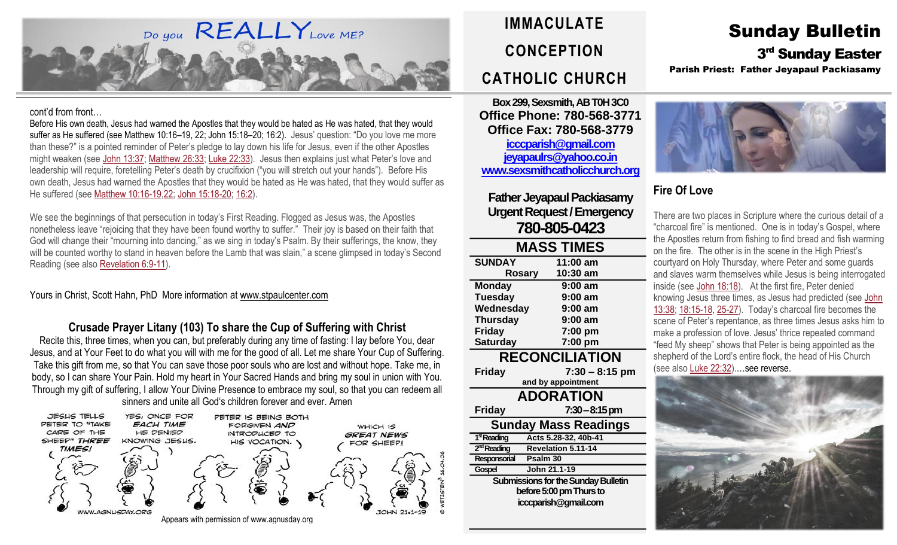

#### cont'd from front…

Before His own death, Jesus had warned the Apostles that they would be hated as He was hated, that they would suffer as He suffered (see Matthew 10:16–19, 22; John 15:18–20; 16:2). Jesus' question: "Do you love me more than these?" is a pointed reminder of Peter's pledge to lay down his life for Jesus, even if the other Apostles might weaken (see John [13:37;](https://biblia.com/bible/rsvce/John%2013.37) [Matthew](https://biblia.com/bible/rsvce/Matt%2026.33) 26:33; Luke [22:33\)](https://biblia.com/bible/rsvce/Luke%2022.33). Jesus then explains just what Peter's love and leadership will require, foretelling Peter's death by crucifixion ("you will stretch out your hands"). Before His own death, Jesus had warned the Apostles that they would be hated as He was hated, that they would suffer as He suffered (see Matthew [10:16-19,](https://biblia.com/bible/rsvce/Matt%2010.16-19)[22;](https://biblia.com/bible/rsvce/Matthew%2010.22) John [15:18-20;](https://biblia.com/bible/rsvce/John%2015.18-20) [16:2\)](https://biblia.com/bible/rsvce/John%2016.2).

We see the beginnings of that persecution in today's First Reading. Flogged as Jesus was, the Apostles nonetheless leave "rejoicing that they have been found worthy to suffer." Their joy is based on their faith that God will change their "mourning into dancing," as we sing in today's Psalm. By their sufferings, the know, they will be counted worthy to stand in heaven before the Lamb that was slain," a scene glimpsed in today's Second Reading (see also [Revelation](https://biblia.com/bible/rsvce/Rev%206.9-11) 6:9-11).

Yours in Christ, Scott Hahn, PhD More information at [www.stpaulcenter.com](http://www.stpaulcenter.com/)

#### **Crusade Prayer Litany (103) To share the Cup of Suffering with Christ**

Recite this, three times, when you can, but preferably during any time of fasting: I lay before You, dear Jesus, and at Your Feet to do what you will with me for the good of all. Let me share Your Cup of Suffering. Take this gift from me, so that You can save those poor souls who are lost and without hope. Take me, in body, so I can share Your Pain. Hold my heart in Your Sacred Hands and bring my soul in union with You. Through my gift of suffering, I allow Your Divine Presence to embrace my soul, so that you can redeem all sinners and unite all God's children forever and ever. Amen



# **IMMACULATE CONCEPTION CATHOLIC CHURCH**

**Box 299, Sexsmith, AB T0H 3C0 Office Phone: 780-568-3771 Office Fax: 780-568-3779 [icccparish@gmail.com](mailto:icccparish@gmail.com) [jeyapaulrs@yahoo.co.in](mailto:jeyapaulrs@yahoo.co.in) [www.sexsmithcatholicchurch.org](http://www.sexsmithcatholicchurch.org/)**

**Father Jeyapaul Packiasamy Urgent Request/Emergency 780-805-0423**

| <b>MASS TIMES</b>                          |                           |  |  |  |  |
|--------------------------------------------|---------------------------|--|--|--|--|
| <b>SUNDAY</b>                              | 11:00 am                  |  |  |  |  |
|                                            | 10:30 am<br><b>Rosary</b> |  |  |  |  |
| <b>Monday</b>                              | 9:00 am                   |  |  |  |  |
| <b>Tuesday</b>                             | 9:00 am                   |  |  |  |  |
| Wednesday                                  | 9:00 am                   |  |  |  |  |
| <b>Thursday</b>                            | 9:00 am                   |  |  |  |  |
| <b>Friday</b>                              | 7:00 pm                   |  |  |  |  |
| <b>Saturday</b>                            | 7:00 pm                   |  |  |  |  |
| <b>RECONCILIATION</b>                      |                           |  |  |  |  |
| Friday                                     | $7:30 - 8:15$ pm          |  |  |  |  |
|                                            | and by appointment        |  |  |  |  |
|                                            | <b>ADORATION</b>          |  |  |  |  |
| <b>Friday</b>                              | 7:30 – 8:15 pm            |  |  |  |  |
| Sunday Mass Readings                       |                           |  |  |  |  |
| 1 <sup>st</sup> Reading                    | Acts 5.28-32, 40b-41      |  |  |  |  |
| 2 <sup>nd</sup> Reading                    | <b>Revelation 5.11-14</b> |  |  |  |  |
| Responsorial                               | Psalm 30                  |  |  |  |  |
| Gospel                                     | John 21.1-19              |  |  |  |  |
| <b>Submissions for the Sunday Bulletin</b> |                           |  |  |  |  |
| before 5:00 pm Thurs to                    |                           |  |  |  |  |
|                                            | icccparish@gmail.com      |  |  |  |  |
|                                            |                           |  |  |  |  |

# Sunday Bulletin 3<sup>rd</sup> Sunday Easter

Parish Priest: Father Jeyapaul Packiasamy



## **Fire Of Love**

There are two places in Scripture where the curious detail of a "charcoal fire" is mentioned. One is in today's Gospel, where the Apostles return from fishing to find bread and fish warming on the fire. The other is in the scene in the High Priest's courtyard on Holy Thursday, where Peter and some guards and slaves warm themselves while Jesus is being interrogated inside (see John [18:18\)](https://biblia.com/bible/rsvce/John%2018.18). At the first fire, Peter denied knowing Jesus three times, as Jesus had predicted (see [John](https://biblia.com/bible/rsvce/John%2013.38) [13:38;](https://biblia.com/bible/rsvce/John%2013.38) [18:15-18,](https://biblia.com/bible/rsvce/John%2018.15-18) [25-27\)](https://biblia.com/bible/rsvce/John%2018.25-27). Today's charcoal fire becomes the scene of Peter's repentance, as three times Jesus asks him to make a profession of love. Jesus' thrice repeated command "feed My sheep" shows that Peter is being appointed as the shepherd of the Lord's entire flock, the head of His Church (see also Luke [22:32\)](https://biblia.com/bible/rsvce/Luke%2022.32).…see reverse.